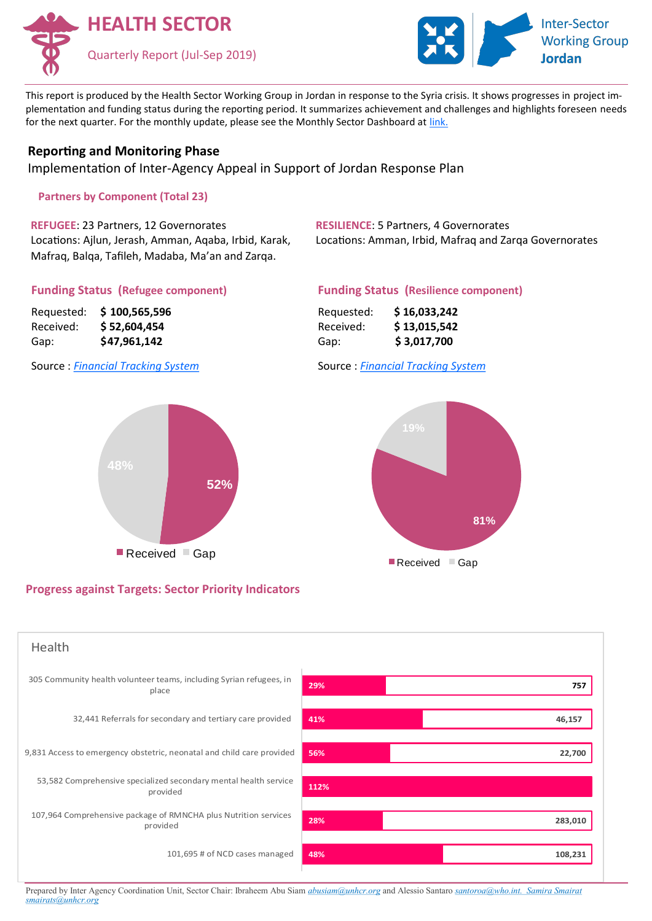



This report is produced by the Health Sector Working Group in Jordan in response to the Syria crisis. It shows progresses in project implementation and funding status during the reporting period. It summarizes achievement and challenges and highlights foreseen needs for the next quarter. For the monthly update, please see the Monthly Sector Dashboard at [link.](http://scs.raisunhcr.org/2019/Health2019.aspx)

## **Reporting and Monitoring Phase**

Implementation of Inter-Agency Appeal in Support of Jordan Response Plan

**Partners by Component (Total 23)** 

**REFUGEE**: 23 Partners, 12 Governorates Locations: Ajlun, Jerash, Amman, Aqaba, Irbid, Karak, Mafraq, Balqa, Tafileh, Madaba, Ma'an and Zarqa.

**RESILIENCE**: 5 Partners, 4 Governorates Locations: Amman, Irbid, Mafraq and Zarqa Governorates

### **Funding Status (Refugee component)**

| Requested: | \$100,565,596 |
|------------|---------------|
| Received:  | \$ 52,604,454 |
| Gap:       | \$47,961,142  |

### Source : *[Financial Tracking System](http://scs.raisunhcr.org/FTS/tst.aspx)*



# **Progress against Targets: Sector Priority Indicators**

## **Funding Status (Resilience component)**

| Requested: | \$16,033,242 |
|------------|--------------|
| Received:  | \$13,015,542 |
| Gap:       | \$3,017,700  |

Source : *[Financial Tracking System](http://scs.raisunhcr.org/FTS/tst.aspx)*





Prepared by Inter Agency Coordination Unit, Sector Chair: Ibraheem Abu Siam *[abusiam@unhcr.org](mailto:buffoni@unhcr.org)* and Alessio Santaro *santoro[a@who.int.](mailto:buffoni@unhcr.org) Samira Smairat smairats@unhcr.org*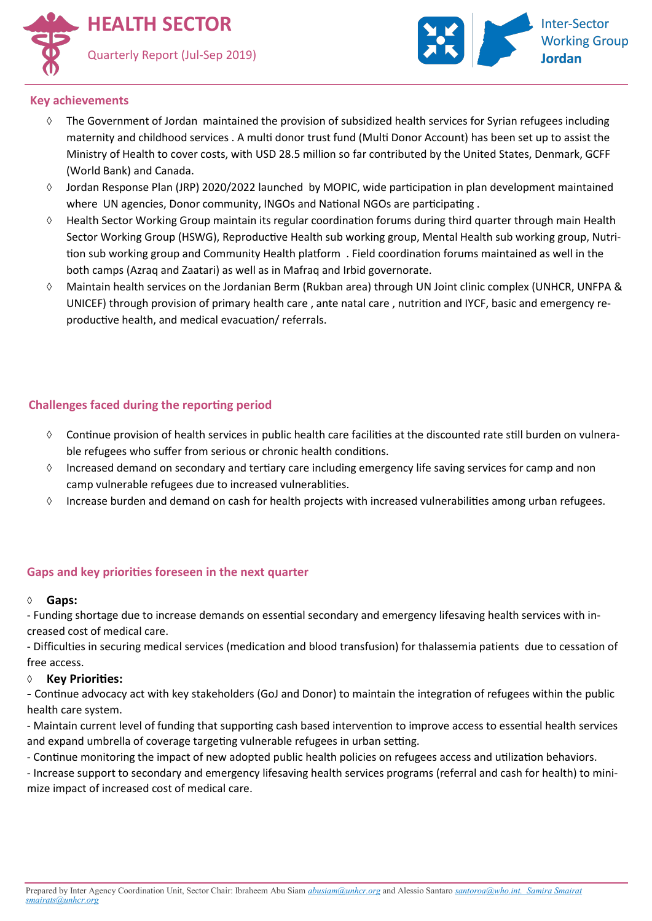



### **Key achievements**

- $\Diamond$  The Government of Jordan maintained the provision of subsidized health services for Syrian refugees including maternity and childhood services . A multi donor trust fund (Multi Donor Account) has been set up to assist the Ministry of Health to cover costs, with USD 28.5 million so far contributed by the United States, Denmark, GCFF (World Bank) and Canada.
- $\Diamond$  Jordan Response Plan (JRP) 2020/2022 launched by MOPIC, wide participation in plan development maintained where UN agencies, Donor community, INGOs and National NGOs are participating .
- Health Sector Working Group maintain its regular coordination forums during third quarter through main Health Sector Working Group (HSWG), Reproductive Health sub working group, Mental Health sub working group, Nutrition sub working group and Community Health platform . Field coordination forums maintained as well in the both camps (Azraq and Zaatari) as well as in Mafraq and Irbid governorate.
- Maintain health services on the Jordanian Berm (Rukban area) through UN Joint clinic complex (UNHCR, UNFPA & UNICEF) through provision of primary health care , ante natal care , nutrition and IYCF, basic and emergency reproductive health, and medical evacuation/ referrals.

# **Challenges faced during the reporting period**

- $\Diamond$  Continue provision of health services in public health care facilities at the discounted rate still burden on vulnerable refugees who suffer from serious or chronic health conditions.
- $\Diamond$  Increased demand on secondary and tertiary care including emergency life saving services for camp and non camp vulnerable refugees due to increased vulnerablities.
- Increase burden and demand on cash for health projects with increased vulnerabilities among urban refugees.

# **Gaps and key priorities foreseen in the next quarter**

### **Gaps:**

- Funding shortage due to increase demands on essential secondary and emergency lifesaving health services with increased cost of medical care.

- Difficulties in securing medical services (medication and blood transfusion) for thalassemia patients due to cessation of free access.

### **Key Priorities:**

**-** Continue advocacy act with key stakeholders (GoJ and Donor) to maintain the integration of refugees within the public health care system.

- Maintain current level of funding that supporting cash based intervention to improve access to essential health services and expand umbrella of coverage targeting vulnerable refugees in urban setting.

- Continue monitoring the impact of new adopted public health policies on refugees access and utilization behaviors.

- Increase support to secondary and emergency lifesaving health services programs (referral and cash for health) to minimize impact of increased cost of medical care.